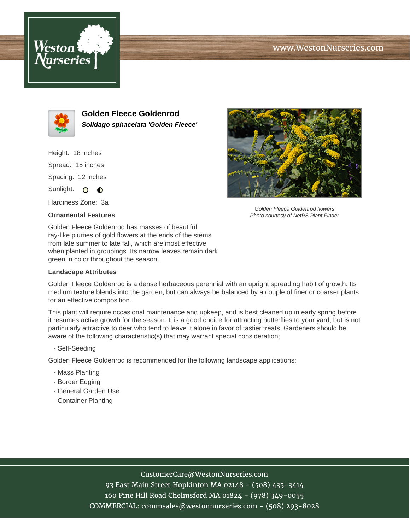# www.WestonNurseries.com





**Golden Fleece Goldenrod Solidago sphacelata 'Golden Fleece'**

Height: 18 inches Spread: 15 inches Spacing: 12 inches Sunlight: O O

Hardiness Zone: 3a

#### **Ornamental Features**



Golden Fleece Goldenrod flowers Photo courtesy of NetPS Plant Finder

Golden Fleece Goldenrod has masses of beautiful ray-like plumes of gold flowers at the ends of the stems from late summer to late fall, which are most effective when planted in groupings. Its narrow leaves remain dark green in color throughout the season.

#### **Landscape Attributes**

Golden Fleece Goldenrod is a dense herbaceous perennial with an upright spreading habit of growth. Its medium texture blends into the garden, but can always be balanced by a couple of finer or coarser plants for an effective composition.

This plant will require occasional maintenance and upkeep, and is best cleaned up in early spring before it resumes active growth for the season. It is a good choice for attracting butterflies to your yard, but is not particularly attractive to deer who tend to leave it alone in favor of tastier treats. Gardeners should be aware of the following characteristic(s) that may warrant special consideration;

- Self-Seeding

Golden Fleece Goldenrod is recommended for the following landscape applications;

- Mass Planting
- Border Edging
- General Garden Use
- Container Planting

# CustomerCare@WestonNurseries.com

93 East Main Street Hopkinton MA 02148 - (508) 435-3414 160 Pine Hill Road Chelmsford MA 01824 - (978) 349-0055 COMMERCIAL: commsales@westonnurseries.com - (508) 293-8028